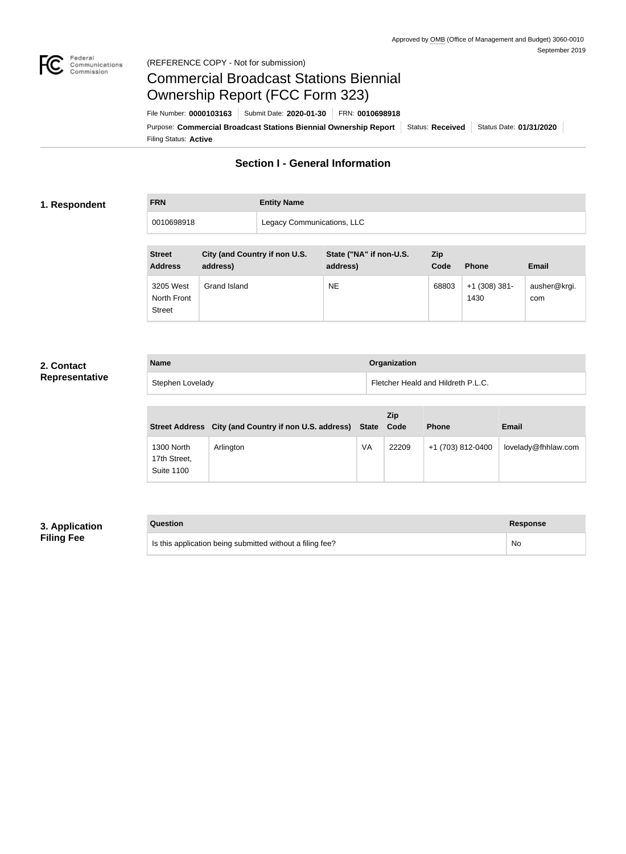

#### Federal<br>Communications<br>Commission (REFERENCE COPY - Not for submission)

# Commercial Broadcast Stations Biennial Ownership Report (FCC Form 323)

Filing Status: **Active** Purpose: Commercial Broadcast Stations Biennial Ownership Report Status: Received Status Date: 01/31/2020 File Number: **0000103163** Submit Date: **2020-01-30** FRN: **0010698918**

## **Section I - General Information**

#### **1. Respondent**

**FRN Entity Name** 0010698918 | Legacy Communications, LLC

| <b>Street</b><br><b>Address</b>           | City (and Country if non U.S.<br>address) | State ("NA" if non-U.S.<br>address) | Zip<br>Code | <b>Phone</b>            | <b>Email</b>        |
|-------------------------------------------|-------------------------------------------|-------------------------------------|-------------|-------------------------|---------------------|
| 3205 West<br>North Front<br><b>Street</b> | Grand Island                              | <b>NE</b>                           | 68803       | $+1$ (308) 381-<br>1430 | ausher@krgi.<br>com |

### **2. Contact Representative**

| <b>Name</b>      | Organization                       |
|------------------|------------------------------------|
| Stephen Lovelady | Fletcher Heald and Hildreth P.L.C. |

|                                                 | Street Address City (and Country if non U.S. address) State Code |    | Zip   | <b>Phone</b>      | <b>Email</b>        |
|-------------------------------------------------|------------------------------------------------------------------|----|-------|-------------------|---------------------|
| 1300 North<br>17th Street,<br><b>Suite 1100</b> | Arlington                                                        | VA | 22209 | +1 (703) 812-0400 | lovelady@fhhlaw.com |

### **3. Application Filing Fee**

| Question                                                  | <b>Response</b> |
|-----------------------------------------------------------|-----------------|
| Is this application being submitted without a filing fee? | No              |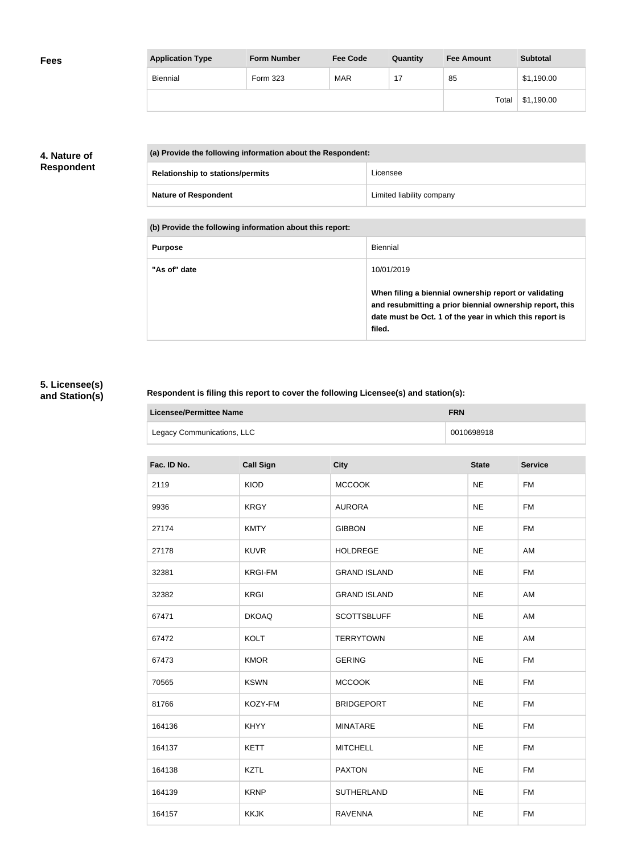| <b>Application Type</b> | <b>Form Number</b> | <b>Fee Code</b> | Quantity | <b>Fee Amount</b> | <b>Subtotal</b> |
|-------------------------|--------------------|-----------------|----------|-------------------|-----------------|
| Biennial                | Form 323           | <b>MAR</b>      |          | 85                | \$1,190.00      |
|                         |                    |                 |          | Total             | \$1,190.00      |

### **4. Nature of Respondent**

| (a) Provide the following information about the Respondent: |                           |
|-------------------------------------------------------------|---------------------------|
| <b>Relationship to stations/permits</b>                     | Licensee                  |
| <b>Nature of Respondent</b>                                 | Limited liability company |

**(b) Provide the following information about this report:**

| <b>Purpose</b> | Biennial                                                                                                                                                                               |
|----------------|----------------------------------------------------------------------------------------------------------------------------------------------------------------------------------------|
| "As of" date   | 10/01/2019                                                                                                                                                                             |
|                | When filing a biennial ownership report or validating<br>and resubmitting a prior biennial ownership report, this<br>date must be Oct. 1 of the year in which this report is<br>filed. |

### **5. Licensee(s) and Station(s)**

r

### **Respondent is filing this report to cover the following Licensee(s) and station(s):**

| Licensee/Permittee Name    | <b>FRN</b> |
|----------------------------|------------|
| Legacy Communications, LLC | 0010698918 |

| Fac. ID No. | <b>Call Sign</b> | <b>City</b>         | <b>State</b> | <b>Service</b> |
|-------------|------------------|---------------------|--------------|----------------|
| 2119        | KIOD             | <b>MCCOOK</b>       | <b>NE</b>    | <b>FM</b>      |
| 9936        | <b>KRGY</b>      | <b>AURORA</b>       | <b>NE</b>    | <b>FM</b>      |
| 27174       | <b>KMTY</b>      | <b>GIBBON</b>       | <b>NE</b>    | <b>FM</b>      |
| 27178       | <b>KUVR</b>      | <b>HOLDREGE</b>     | <b>NE</b>    | AM             |
| 32381       | <b>KRGI-FM</b>   | <b>GRAND ISLAND</b> | <b>NE</b>    | <b>FM</b>      |
| 32382       | <b>KRGI</b>      | <b>GRAND ISLAND</b> | <b>NE</b>    | AM             |
| 67471       | <b>DKOAQ</b>     | <b>SCOTTSBLUFF</b>  | <b>NE</b>    | AM             |
| 67472       | <b>KOLT</b>      | <b>TERRYTOWN</b>    | <b>NE</b>    | AM             |
| 67473       | <b>KMOR</b>      | <b>GERING</b>       | <b>NE</b>    | <b>FM</b>      |
| 70565       | <b>KSWN</b>      | <b>MCCOOK</b>       | <b>NE</b>    | <b>FM</b>      |
| 81766       | KOZY-FM          | <b>BRIDGEPORT</b>   | <b>NE</b>    | <b>FM</b>      |
| 164136      | <b>KHYY</b>      | <b>MINATARE</b>     | <b>NE</b>    | <b>FM</b>      |
| 164137      | <b>KETT</b>      | <b>MITCHELL</b>     | <b>NE</b>    | <b>FM</b>      |
| 164138      | <b>KZTL</b>      | <b>PAXTON</b>       | <b>NE</b>    | <b>FM</b>      |
| 164139      | <b>KRNP</b>      | <b>SUTHERLAND</b>   | <b>NE</b>    | <b>FM</b>      |
| 164157      | <b>KKJK</b>      | <b>RAVENNA</b>      | <b>NE</b>    | <b>FM</b>      |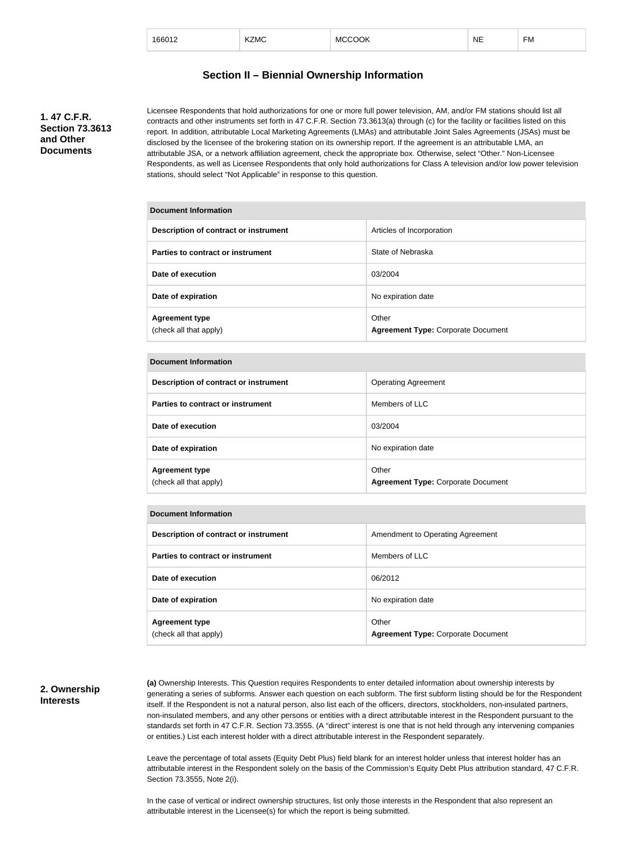| 166012 | KZMC | <b>MCCOOK</b> | <b>NE</b> | --<br>⊦м |
|--------|------|---------------|-----------|----------|
|        |      |               |           |          |

#### **Section II – Biennial Ownership Information**

**1. 47 C.F.R. Section 73.3613 and Other Documents**

Licensee Respondents that hold authorizations for one or more full power television, AM, and/or FM stations should list all contracts and other instruments set forth in 47 C.F.R. Section 73.3613(a) through (c) for the facility or facilities listed on this report. In addition, attributable Local Marketing Agreements (LMAs) and attributable Joint Sales Agreements (JSAs) must be disclosed by the licensee of the brokering station on its ownership report. If the agreement is an attributable LMA, an attributable JSA, or a network affiliation agreement, check the appropriate box. Otherwise, select "Other." Non-Licensee Respondents, as well as Licensee Respondents that only hold authorizations for Class A television and/or low power television stations, should select "Not Applicable" in response to this question.

| <b>Document Information</b>                     |                                                    |
|-------------------------------------------------|----------------------------------------------------|
| Description of contract or instrument           | Articles of Incorporation                          |
| Parties to contract or instrument               | State of Nebraska                                  |
| Date of execution                               | 03/2004                                            |
| Date of expiration                              | No expiration date                                 |
| <b>Agreement type</b><br>(check all that apply) | Other<br><b>Agreement Type: Corporate Document</b> |

#### **Document Information**

| Description of contract or instrument           | <b>Operating Agreement</b>                         |
|-------------------------------------------------|----------------------------------------------------|
| Parties to contract or instrument               | Members of LLC                                     |
| Date of execution                               | 03/2004                                            |
| Date of expiration                              | No expiration date                                 |
| <b>Agreement type</b><br>(check all that apply) | Other<br><b>Agreement Type: Corporate Document</b> |

#### **Document Information**

| Description of contract or instrument           | Amendment to Operating Agreement                   |
|-------------------------------------------------|----------------------------------------------------|
| Parties to contract or instrument               | Members of LLC                                     |
| Date of execution                               | 06/2012                                            |
| Date of expiration                              | No expiration date                                 |
| <b>Agreement type</b><br>(check all that apply) | Other<br><b>Agreement Type: Corporate Document</b> |

#### **2. Ownership Interests**

**(a)** Ownership Interests. This Question requires Respondents to enter detailed information about ownership interests by generating a series of subforms. Answer each question on each subform. The first subform listing should be for the Respondent itself. If the Respondent is not a natural person, also list each of the officers, directors, stockholders, non-insulated partners, non-insulated members, and any other persons or entities with a direct attributable interest in the Respondent pursuant to the standards set forth in 47 C.F.R. Section 73.3555. (A "direct" interest is one that is not held through any intervening companies or entities.) List each interest holder with a direct attributable interest in the Respondent separately.

Leave the percentage of total assets (Equity Debt Plus) field blank for an interest holder unless that interest holder has an attributable interest in the Respondent solely on the basis of the Commission's Equity Debt Plus attribution standard, 47 C.F.R. Section 73.3555, Note 2(i).

In the case of vertical or indirect ownership structures, list only those interests in the Respondent that also represent an attributable interest in the Licensee(s) for which the report is being submitted.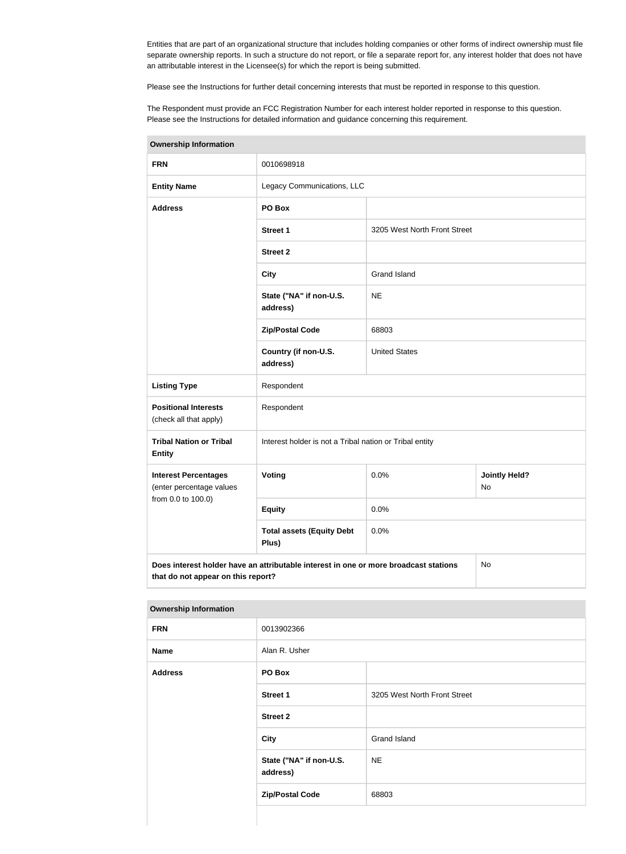Entities that are part of an organizational structure that includes holding companies or other forms of indirect ownership must file separate ownership reports. In such a structure do not report, or file a separate report for, any interest holder that does not have an attributable interest in the Licensee(s) for which the report is being submitted.

Please see the Instructions for further detail concerning interests that must be reported in response to this question.

The Respondent must provide an FCC Registration Number for each interest holder reported in response to this question. Please see the Instructions for detailed information and guidance concerning this requirement.

| <b>Ownership Information</b>                            |                                                                                      |                              |                            |  |
|---------------------------------------------------------|--------------------------------------------------------------------------------------|------------------------------|----------------------------|--|
| <b>FRN</b>                                              | 0010698918                                                                           |                              |                            |  |
| <b>Entity Name</b>                                      | Legacy Communications, LLC                                                           |                              |                            |  |
| <b>Address</b>                                          | PO Box                                                                               |                              |                            |  |
|                                                         | <b>Street 1</b>                                                                      | 3205 West North Front Street |                            |  |
|                                                         | <b>Street 2</b>                                                                      |                              |                            |  |
|                                                         | <b>City</b>                                                                          | <b>Grand Island</b>          |                            |  |
|                                                         | State ("NA" if non-U.S.<br>address)                                                  | <b>NE</b>                    |                            |  |
|                                                         | <b>Zip/Postal Code</b>                                                               | 68803                        |                            |  |
|                                                         | Country (if non-U.S.<br>address)                                                     | <b>United States</b>         |                            |  |
| <b>Listing Type</b>                                     | Respondent                                                                           |                              |                            |  |
| <b>Positional Interests</b><br>(check all that apply)   | Respondent                                                                           |                              |                            |  |
| <b>Tribal Nation or Tribal</b><br><b>Entity</b>         | Interest holder is not a Tribal nation or Tribal entity                              |                              |                            |  |
| <b>Interest Percentages</b><br>(enter percentage values | <b>Voting</b>                                                                        | 0.0%                         | <b>Jointly Held?</b><br>No |  |
| from 0.0 to 100.0)                                      | <b>Equity</b>                                                                        | 0.0%                         |                            |  |
|                                                         | <b>Total assets (Equity Debt</b><br>Plus)                                            | 0.0%                         |                            |  |
| that do not appear on this report?                      | Does interest holder have an attributable interest in one or more broadcast stations |                              | No                         |  |

**Ownership Information**

| <b>FRN</b>     | 0013902366                          |                              |
|----------------|-------------------------------------|------------------------------|
| <b>Name</b>    | Alan R. Usher                       |                              |
| <b>Address</b> | PO Box                              |                              |
|                | <b>Street 1</b>                     | 3205 West North Front Street |
|                | <b>Street 2</b>                     |                              |
|                | <b>City</b>                         | Grand Island                 |
|                | State ("NA" if non-U.S.<br>address) | <b>NE</b>                    |
|                | <b>Zip/Postal Code</b>              | 68803                        |
|                |                                     |                              |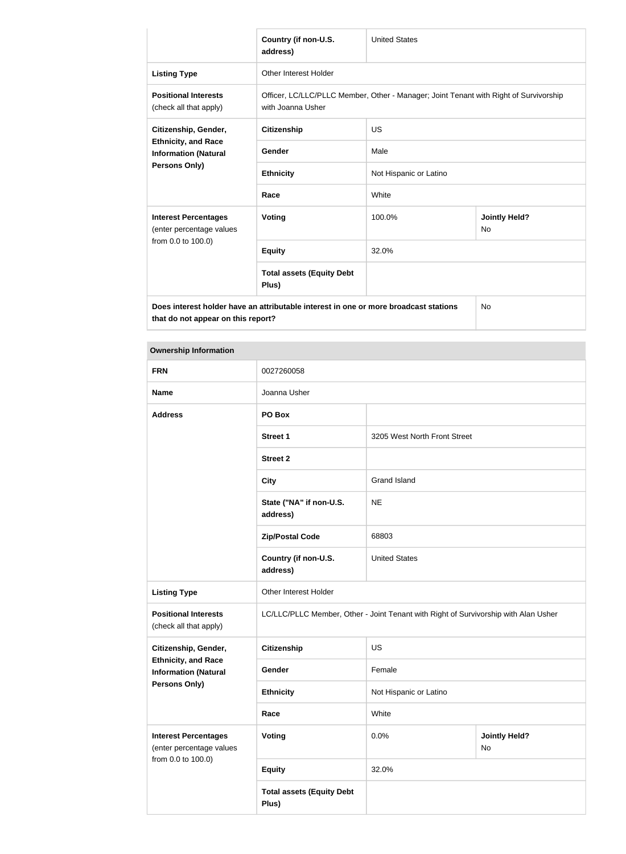|                                                                                                                            | Country (if non-U.S.<br>address)                                                                           | <b>United States</b>   |                                   |
|----------------------------------------------------------------------------------------------------------------------------|------------------------------------------------------------------------------------------------------------|------------------------|-----------------------------------|
| <b>Listing Type</b>                                                                                                        | Other Interest Holder                                                                                      |                        |                                   |
| <b>Positional Interests</b><br>(check all that apply)                                                                      | Officer, LC/LLC/PLLC Member, Other - Manager; Joint Tenant with Right of Survivorship<br>with Joanna Usher |                        |                                   |
| Citizenship, Gender,<br><b>Ethnicity, and Race</b><br><b>Information (Natural</b><br>Persons Only)                         | <b>Citizenship</b>                                                                                         | US                     |                                   |
|                                                                                                                            | Gender                                                                                                     | Male                   |                                   |
|                                                                                                                            | <b>Ethnicity</b>                                                                                           | Not Hispanic or Latino |                                   |
|                                                                                                                            | Race                                                                                                       | White                  |                                   |
| <b>Interest Percentages</b><br>(enter percentage values<br>from 0.0 to 100.0)                                              | Voting                                                                                                     | 100.0%                 | <b>Jointly Held?</b><br><b>No</b> |
|                                                                                                                            | <b>Equity</b>                                                                                              | 32.0%                  |                                   |
|                                                                                                                            | <b>Total assets (Equity Debt</b><br>Plus)                                                                  |                        |                                   |
| Does interest holder have an attributable interest in one or more broadcast stations<br>that do not appear on this report? |                                                                                                            | No                     |                                   |

#### **Ownership Information**

| <b>FRN</b>                                                | 0027260058                                |                                                                                     |                            |  |
|-----------------------------------------------------------|-------------------------------------------|-------------------------------------------------------------------------------------|----------------------------|--|
| <b>Name</b>                                               | Joanna Usher                              |                                                                                     |                            |  |
| <b>Address</b>                                            | PO Box                                    |                                                                                     |                            |  |
|                                                           | <b>Street 1</b>                           | 3205 West North Front Street                                                        |                            |  |
|                                                           | <b>Street 2</b>                           |                                                                                     |                            |  |
|                                                           | <b>City</b>                               | <b>Grand Island</b>                                                                 |                            |  |
|                                                           | State ("NA" if non-U.S.<br>address)       | <b>NE</b>                                                                           |                            |  |
|                                                           | <b>Zip/Postal Code</b>                    | 68803                                                                               |                            |  |
|                                                           | Country (if non-U.S.<br>address)          | <b>United States</b>                                                                |                            |  |
| <b>Listing Type</b>                                       | Other Interest Holder                     |                                                                                     |                            |  |
| <b>Positional Interests</b><br>(check all that apply)     |                                           | LC/LLC/PLLC Member, Other - Joint Tenant with Right of Survivorship with Alan Usher |                            |  |
| Citizenship, Gender,                                      | <b>Citizenship</b>                        | <b>US</b>                                                                           |                            |  |
| <b>Ethnicity, and Race</b><br><b>Information (Natural</b> | Gender                                    | Female                                                                              |                            |  |
| Persons Only)                                             | <b>Ethnicity</b>                          | Not Hispanic or Latino                                                              |                            |  |
|                                                           | Race                                      | White                                                                               |                            |  |
| <b>Interest Percentages</b><br>(enter percentage values   | <b>Voting</b>                             | 0.0%                                                                                | <b>Jointly Held?</b><br>No |  |
| from 0.0 to 100.0)                                        | <b>Equity</b>                             | 32.0%                                                                               |                            |  |
|                                                           | <b>Total assets (Equity Debt</b><br>Plus) |                                                                                     |                            |  |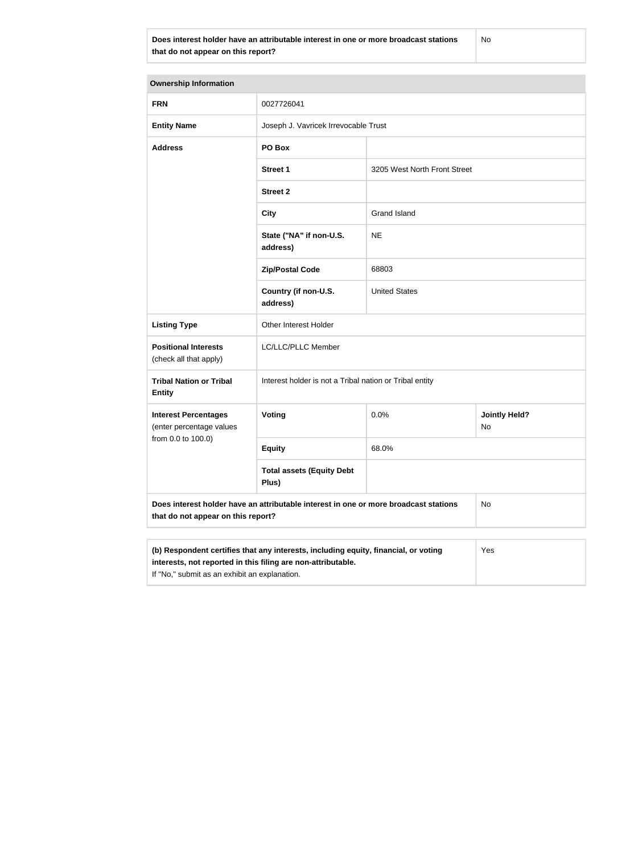**Does interest holder have an attributable interest in one or more broadcast stations that do not appear on this report?**

No

| <b>Ownership Information</b>                                                                                                                                                                         |                                                         |                              |                            |
|------------------------------------------------------------------------------------------------------------------------------------------------------------------------------------------------------|---------------------------------------------------------|------------------------------|----------------------------|
| <b>FRN</b>                                                                                                                                                                                           | 0027726041                                              |                              |                            |
| <b>Entity Name</b>                                                                                                                                                                                   | Joseph J. Vavricek Irrevocable Trust                    |                              |                            |
| <b>Address</b>                                                                                                                                                                                       | PO Box                                                  |                              |                            |
|                                                                                                                                                                                                      | <b>Street 1</b>                                         | 3205 West North Front Street |                            |
|                                                                                                                                                                                                      | <b>Street 2</b>                                         |                              |                            |
|                                                                                                                                                                                                      | <b>City</b>                                             | <b>Grand Island</b>          |                            |
|                                                                                                                                                                                                      | State ("NA" if non-U.S.<br>address)                     | <b>NE</b>                    |                            |
|                                                                                                                                                                                                      | <b>Zip/Postal Code</b>                                  | 68803                        |                            |
|                                                                                                                                                                                                      | Country (if non-U.S.<br>address)                        | <b>United States</b>         |                            |
| <b>Listing Type</b>                                                                                                                                                                                  | Other Interest Holder                                   |                              |                            |
| <b>Positional Interests</b><br>(check all that apply)                                                                                                                                                | LC/LLC/PLLC Member                                      |                              |                            |
| <b>Tribal Nation or Tribal</b><br><b>Entity</b>                                                                                                                                                      | Interest holder is not a Tribal nation or Tribal entity |                              |                            |
| <b>Interest Percentages</b><br>(enter percentage values                                                                                                                                              | <b>Voting</b>                                           | 0.0%                         | <b>Jointly Held?</b><br>No |
| from 0.0 to 100.0)                                                                                                                                                                                   | <b>Equity</b>                                           | 68.0%                        |                            |
|                                                                                                                                                                                                      | <b>Total assets (Equity Debt</b><br>Plus)               |                              |                            |
| Does interest holder have an attributable interest in one or more broadcast stations<br>No<br>that do not appear on this report?                                                                     |                                                         |                              |                            |
| (b) Respondent certifies that any interests, including equity, financial, or voting<br>interests, not reported in this filing are non-attributable.<br>If "No," submit as an exhibit an explanation. |                                                         |                              | Yes                        |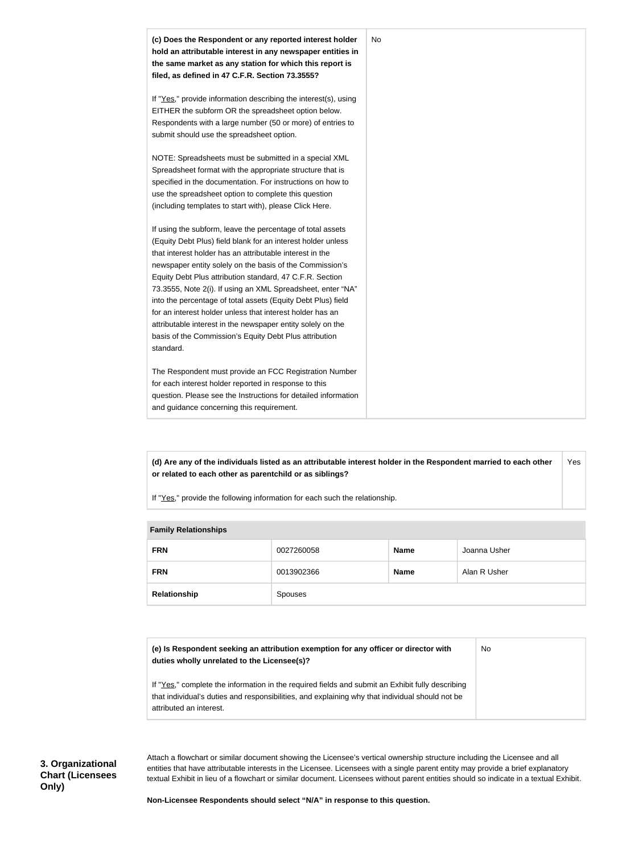

**(d) Are any of the individuals listed as an attributable interest holder in the Respondent married to each other or related to each other as parentchild or as siblings?** Yes

If "Yes," provide the following information for each such the relationship.

#### **Family Relationships**

| <b>FRN</b>   | 0027260058 | <b>Name</b> | Joanna Usher |
|--------------|------------|-------------|--------------|
| <b>FRN</b>   | 0013902366 | <b>Name</b> | Alan R Usher |
| Relationship | Spouses    |             |              |

| (e) Is Respondent seeking an attribution exemption for any officer or director with<br>duties wholly unrelated to the Licensee(s)?                                                                  | No |
|-----------------------------------------------------------------------------------------------------------------------------------------------------------------------------------------------------|----|
| If "Yes," complete the information in the required fields and submit an Exhibit fully describing<br>that individual's duties and responsibilities, and explaining why that individual should not be |    |
| attributed an interest.                                                                                                                                                                             |    |

Attach a flowchart or similar document showing the Licensee's vertical ownership structure including the Licensee and all entities that have attributable interests in the Licensee. Licensees with a single parent entity may provide a brief explanatory textual Exhibit in lieu of a flowchart or similar document. Licensees without parent entities should so indicate in a textual Exhibit.

**Non-Licensee Respondents should select "N/A" in response to this question.**